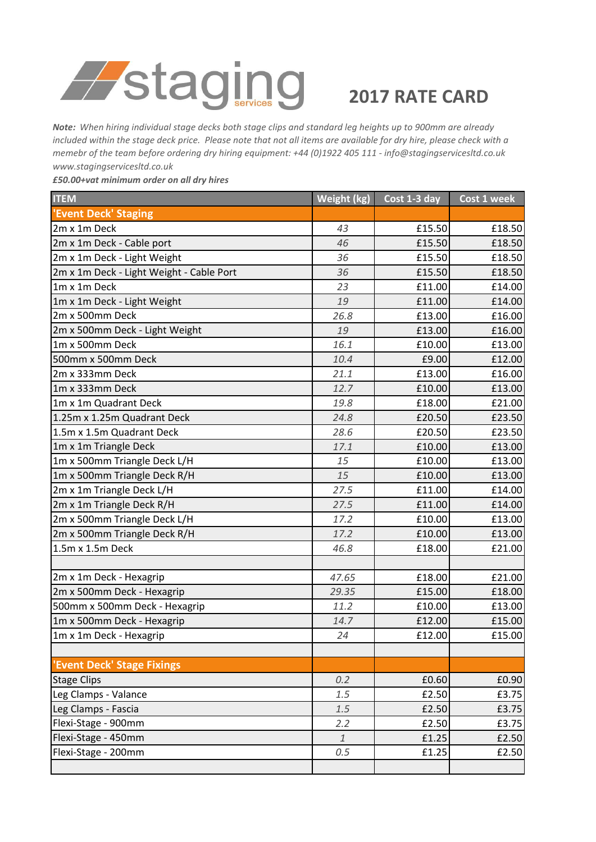

## **2017 RATE CARD**

*Note: When hiring individual stage decks both stage clips and standard leg heights up to 900mm are already included within the stage deck price. Please note that not all items are available for dry hire, please check with a memebr of the team before ordering dry hiring equipment: +44 (0)1922 405 111 - info@stagingservicesltd.co.uk www.stagingservicesltd.co.uk* 

*£50.00+vat minimum order on all dry hires*

| <b>ITEM</b>                              | Weight (kg)  | Cost 1-3 day | Cost 1 week |
|------------------------------------------|--------------|--------------|-------------|
| 'Event Deck' Staging                     |              |              |             |
| 2m x 1m Deck                             | 43           | £15.50       | £18.50      |
| 2m x 1m Deck - Cable port                | 46           | £15.50       | £18.50      |
| 2m x 1m Deck - Light Weight              | 36           | £15.50       | £18.50      |
| 2m x 1m Deck - Light Weight - Cable Port | 36           | £15.50       | £18.50      |
| 1m x 1m Deck                             | 23           | £11.00       | £14.00      |
| 1m x 1m Deck - Light Weight              | 19           | £11.00       | £14.00      |
| 2m x 500mm Deck                          | 26.8         | £13.00       | £16.00      |
| 2m x 500mm Deck - Light Weight           | 19           | £13.00       | £16.00      |
| 1m x 500mm Deck                          | 16.1         | £10.00       | £13.00      |
| 500mm x 500mm Deck                       | 10.4         | £9.00        | £12.00      |
| 2m x 333mm Deck                          | 21.1         | £13.00       | £16.00      |
| 1m x 333mm Deck                          | 12.7         | £10.00       | £13.00      |
| 1m x 1m Quadrant Deck                    | 19.8         | £18.00       | £21.00      |
| 1.25m x 1.25m Quadrant Deck              | 24.8         | £20.50       | £23.50      |
| 1.5m x 1.5m Quadrant Deck                | 28.6         | £20.50       | £23.50      |
| 1m x 1m Triangle Deck                    | 17.1         | £10.00       | £13.00      |
| 1m x 500mm Triangle Deck L/H             | 15           | £10.00       | £13.00      |
| 1m x 500mm Triangle Deck R/H             | 15           | £10.00       | £13.00      |
| 2m x 1m Triangle Deck L/H                | 27.5         | £11.00       | £14.00      |
| 2m x 1m Triangle Deck R/H                | 27.5         | £11.00       | £14.00      |
| 2m x 500mm Triangle Deck L/H             | 17.2         | £10.00       | £13.00      |
| 2m x 500mm Triangle Deck R/H             | 17.2         | £10.00       | £13.00      |
| 1.5m x 1.5m Deck                         | 46.8         | £18.00       | £21.00      |
|                                          |              |              |             |
| 2m x 1m Deck - Hexagrip                  | 47.65        | £18.00       | £21.00      |
| 2m x 500mm Deck - Hexagrip               | 29.35        | £15.00       | £18.00      |
| 500mm x 500mm Deck - Hexagrip            | 11.2         | £10.00       | £13.00      |
| 1m x 500mm Deck - Hexagrip               | 14.7         | £12.00       | £15.00      |
| 1m x 1m Deck - Hexagrip                  | 24           | £12.00       | £15.00      |
|                                          |              |              |             |
| 'Event Deck' Stage Fixings               |              |              |             |
| <b>Stage Clips</b>                       | 0.2          | £0.60        | £0.90       |
| Leg Clamps - Valance                     | 1.5          | £2.50        | £3.75       |
| Leg Clamps - Fascia                      | 1.5          | £2.50        | £3.75       |
| Flexi-Stage - 900mm                      | 2.2          | £2.50        | £3.75       |
| Flexi-Stage - 450mm                      | $\mathbf{1}$ | £1.25        | £2.50       |
| Flexi-Stage - 200mm                      | 0.5          | £1.25        | £2.50       |
|                                          |              |              |             |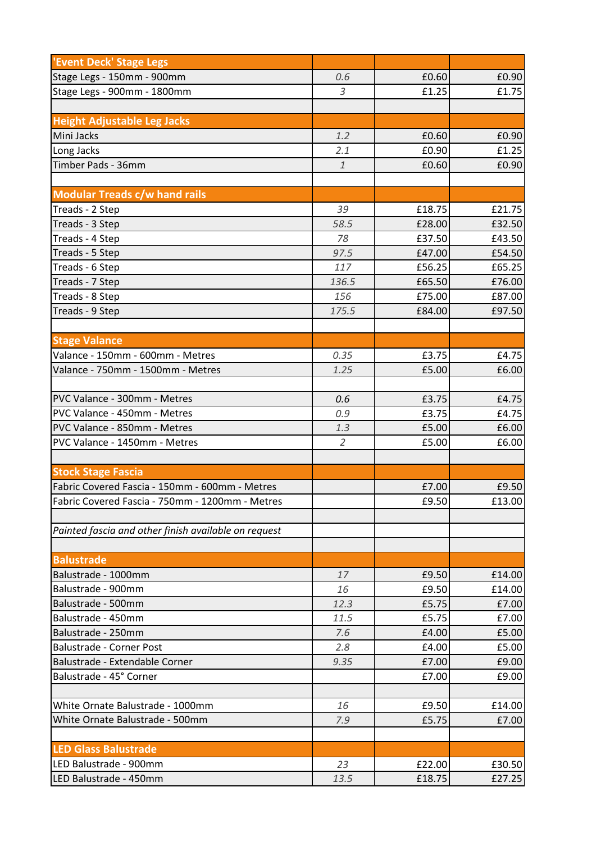| 'Event Deck' Stage Legs                              |                |        |        |
|------------------------------------------------------|----------------|--------|--------|
| Stage Legs - 150mm - 900mm                           | 0.6            | £0.60  | £0.90  |
| Stage Legs - 900mm - 1800mm                          | 3              | £1.25  | £1.75  |
|                                                      |                |        |        |
| <b>Height Adjustable Leg Jacks</b>                   |                |        |        |
| Mini Jacks                                           | 1.2            | £0.60  | £0.90  |
| Long Jacks                                           | 2.1            | £0.90  | £1.25  |
| Timber Pads - 36mm                                   | $\mathbf{1}$   | £0.60  | £0.90  |
|                                                      |                |        |        |
| <b>Modular Treads c/w hand rails</b>                 |                |        |        |
| Treads - 2 Step                                      | 39             | £18.75 | £21.75 |
| Treads - 3 Step                                      | 58.5           | £28.00 | £32.50 |
| Treads - 4 Step                                      | 78             | £37.50 | £43.50 |
| Treads - 5 Step                                      | 97.5           | £47.00 | £54.50 |
| Treads - 6 Step                                      | 117            | £56.25 | £65.25 |
| Treads - 7 Step                                      | 136.5          | £65.50 | £76.00 |
| Treads - 8 Step                                      | 156            | £75.00 | £87.00 |
| Treads - 9 Step                                      | 175.5          | £84.00 | £97.50 |
|                                                      |                |        |        |
| <b>Stage Valance</b>                                 |                |        |        |
| Valance - 150mm - 600mm - Metres                     | 0.35           | £3.75  | £4.75  |
| Valance - 750mm - 1500mm - Metres                    | 1.25           | £5.00  | £6.00  |
|                                                      |                |        |        |
| PVC Valance - 300mm - Metres                         | 0.6            | £3.75  | £4.75  |
| PVC Valance - 450mm - Metres                         | 0.9            | £3.75  | £4.75  |
| PVC Valance - 850mm - Metres                         | 1.3            | £5.00  | £6.00  |
| PVC Valance - 1450mm - Metres                        | $\overline{2}$ | £5.00  | £6.00  |
|                                                      |                |        |        |
| <b>Stock Stage Fascia</b>                            |                |        |        |
| Fabric Covered Fascia - 150mm - 600mm - Metres       |                | £7.00  | £9.50  |
| Fabric Covered Fascia - 750mm - 1200mm - Metres      |                | £9.50  | £13.00 |
|                                                      |                |        |        |
| Painted fascia and other finish available on request |                |        |        |
|                                                      |                |        |        |
| <b>Balustrade</b>                                    |                |        |        |
| Balustrade - 1000mm                                  | 17             | £9.50  | £14.00 |
| Balustrade - 900mm                                   | 16             | £9.50  | £14.00 |
| Balustrade - 500mm                                   | 12.3           | £5.75  | £7.00  |
| Balustrade - 450mm                                   | 11.5           | £5.75  | £7.00  |
| Balustrade - 250mm                                   | 7.6            | £4.00  | £5.00  |
| <b>Balustrade - Corner Post</b>                      | 2.8            | £4.00  | £5.00  |
| Balustrade - Extendable Corner                       | 9.35           | £7.00  | £9.00  |
| Balustrade - 45° Corner                              |                | £7.00  | £9.00  |
|                                                      |                |        |        |
| White Ornate Balustrade - 1000mm                     | 16             | £9.50  | £14.00 |
| White Ornate Balustrade - 500mm                      | 7.9            | £5.75  | £7.00  |
|                                                      |                |        |        |
| <b>LED Glass Balustrade</b>                          |                |        |        |
| LED Balustrade - 900mm                               | 23             | £22.00 | £30.50 |
| LED Balustrade - 450mm                               | 13.5           | £18.75 | £27.25 |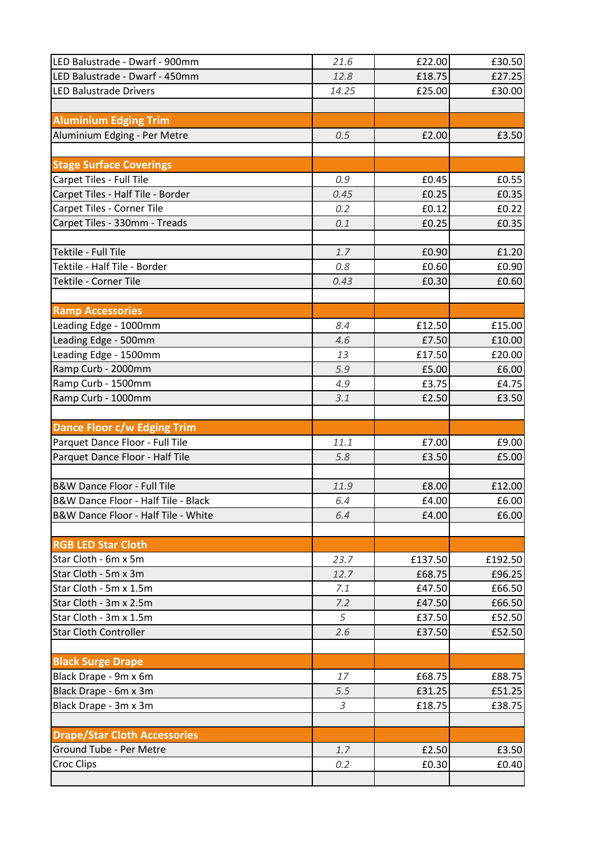| LED Balustrade - Dwarf - 900mm         | 21.6  | £22.00  | £30.50  |
|----------------------------------------|-------|---------|---------|
| LED Balustrade - Dwarf - 450mm         | 12.8  | £18.75  | £27.25  |
| <b>LED Balustrade Drivers</b>          | 14.25 | £25.00  | £30.00  |
|                                        |       |         |         |
| <b>Aluminium Edging Trim</b>           |       |         |         |
| Aluminium Edging - Per Metre           | 0.5   | £2.00   | £3.50   |
|                                        |       |         |         |
| <b>Stage Surface Coverings</b>         |       |         |         |
| Carpet Tiles - Full Tile               | 0.9   | £0.45   | £0.55   |
| Carpet Tiles - Half Tile - Border      | 0.45  | E0.25   | £0.35   |
| Carpet Tiles - Corner Tile             | 0.2   | £0.12   | £0.22   |
| Carpet Tiles - 330mm - Treads          | 0.1   | £0.25   | £0.35   |
|                                        |       |         |         |
| Tektile - Full Tile                    | 1.7   | £0.90   | £1.20   |
| Tektile - Half Tile - Border           | 0.8   | £0.60   | £0.90   |
| Tektile - Corner Tile                  | 0.43  | £0.30   | £0.60   |
|                                        |       |         |         |
| <b>Ramp Accessories</b>                |       |         |         |
| Leading Edge - 1000mm                  | 8.4   | £12.50  | £15.00  |
| Leading Edge - 500mm                   | 4.6   | £7.50   | £10.00  |
| Leading Edge - 1500mm                  | 13    | £17.50  | £20.00  |
| Ramp Curb - 2000mm                     | 5.9   | £5.00   | £6.00   |
| Ramp Curb - 1500mm                     | 4.9   | £3.75   | £4.75   |
| Ramp Curb - 1000mm                     | 3.1   | £2.50   | £3.50   |
|                                        |       |         |         |
| <b>Dance Floor c/w Edging Trim</b>     |       |         |         |
| Parquet Dance Floor - Full Tile        | 11.1  | £7.00   | £9.00   |
| Parquet Dance Floor - Half Tile        | 5.8   | £3.50   | £5.00   |
|                                        |       |         |         |
| <b>B&amp;W Dance Floor - Full Tile</b> | 11.9  | £8.00   | £12.00  |
| B&W Dance Floor - Half Tile - Black    | 6.4   | £4.00   | £6.00   |
| B&W Dance Floor - Half Tile - White    | 6.4   | £4.00   | £6.00   |
|                                        |       |         |         |
| <b>RGB LED Star Cloth</b>              |       |         |         |
| Star Cloth - 6m x 5m                   | 23.7  | £137.50 | £192.50 |
| Star Cloth - 5m x 3m                   | 12.7  | £68.75  | £96.25  |
| Star Cloth - 5m x 1.5m                 | 7.1   | £47.50  | £66.50  |
| Star Cloth - 3m x 2.5m                 | 7.2   | £47.50  | £66.50  |
| Star Cloth - 3m x 1.5m                 | 5     | £37.50  | £52.50  |
| <b>Star Cloth Controller</b>           | 2.6   | £37.50  | £52.50  |
|                                        |       |         |         |
| <b>Black Surge Drape</b>               |       |         |         |
| Black Drape - 9m x 6m                  | 17    | £68.75  | £88.75  |
| Black Drape - 6m x 3m                  | 5.5   | £31.25  | £51.25  |
| Black Drape - 3m x 3m                  | 3     | £18.75  | £38.75  |
|                                        |       |         |         |
| <b>Drape/Star Cloth Accessories</b>    |       |         |         |
| Ground Tube - Per Metre                | 1.7   | £2.50   | £3.50   |
| <b>Croc Clips</b>                      | 0.2   | £0.30   | £0.40   |
|                                        |       |         |         |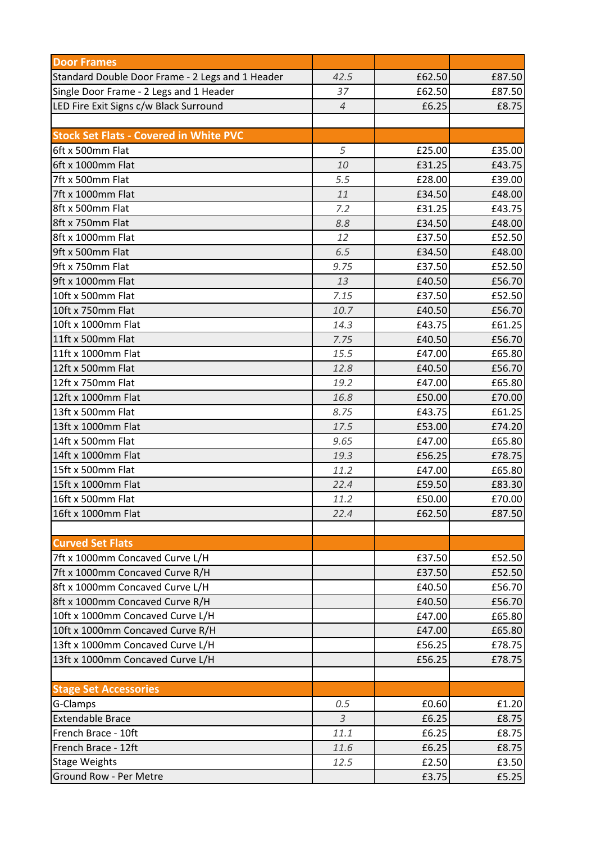| <b>Door Frames</b>                               |                |        |        |
|--------------------------------------------------|----------------|--------|--------|
| Standard Double Door Frame - 2 Legs and 1 Header | 42.5           | £62.50 | £87.50 |
| Single Door Frame - 2 Legs and 1 Header          | 37             | £62.50 | £87.50 |
| LED Fire Exit Signs c/w Black Surround           | $\overline{4}$ | £6.25  | £8.75  |
|                                                  |                |        |        |
| <b>Stock Set Flats - Covered in White PVC</b>    |                |        |        |
| 6ft x 500mm Flat                                 | 5              | £25.00 | £35.00 |
| 6ft x 1000mm Flat                                | 10             | £31.25 | £43.75 |
| 7ft x 500mm Flat                                 | 5.5            | £28.00 | £39.00 |
| 7ft x 1000mm Flat                                | 11             | £34.50 | £48.00 |
| 8ft x 500mm Flat                                 | 7.2            | £31.25 | £43.75 |
| 8ft x 750mm Flat                                 | 8.8            | £34.50 | £48.00 |
| 8ft x 1000mm Flat                                | 12             | £37.50 | £52.50 |
| 9ft x 500mm Flat                                 | 6.5            | £34.50 | £48.00 |
| 9ft x 750mm Flat                                 | 9.75           | £37.50 | £52.50 |
| 9ft x 1000mm Flat                                | 13             | £40.50 | £56.70 |
| 10ft x 500mm Flat                                | 7.15           | £37.50 | £52.50 |
| 10ft x 750mm Flat                                | 10.7           | £40.50 | £56.70 |
| 10ft x 1000mm Flat                               | 14.3           | £43.75 | £61.25 |
| 11ft x 500mm Flat                                | 7.75           | £40.50 | £56.70 |
| 11ft x 1000mm Flat                               | 15.5           | £47.00 | £65.80 |
| 12ft x 500mm Flat                                | 12.8           | £40.50 | £56.70 |
| 12ft x 750mm Flat                                | 19.2           | £47.00 | £65.80 |
| 12ft x 1000mm Flat                               | 16.8           | £50.00 | £70.00 |
| 13ft x 500mm Flat                                | 8.75           | £43.75 | £61.25 |
| 13ft x 1000mm Flat                               | 17.5           | £53.00 | £74.20 |
| 14ft x 500mm Flat                                | 9.65           | £47.00 | £65.80 |
| 14ft x 1000mm Flat                               | 19.3           | £56.25 | £78.75 |
| 15ft x 500mm Flat                                | 11.2           | £47.00 | £65.80 |
| 15ft x 1000mm Flat                               | 22.4           | £59.50 | £83.30 |
| 16ft x 500mm Flat                                | 11.2           | £50.00 | £70.00 |
| 16ft x 1000mm Flat                               | 22.4           | £62.50 | £87.50 |
|                                                  |                |        |        |
| <b>Curved Set Flats</b>                          |                |        |        |
| 7ft x 1000mm Concaved Curve L/H                  |                | £37.50 | £52.50 |
| 7ft x 1000mm Concaved Curve R/H                  |                | £37.50 | £52.50 |
| 8ft x 1000mm Concaved Curve L/H                  |                | £40.50 | £56.70 |
| 8ft x 1000mm Concaved Curve R/H                  |                | £40.50 | £56.70 |
| 10ft x 1000mm Concaved Curve L/H                 |                | £47.00 | £65.80 |
| 10ft x 1000mm Concaved Curve R/H                 |                | £47.00 | £65.80 |
| 13ft x 1000mm Concaved Curve L/H                 |                | £56.25 | £78.75 |
| 13ft x 1000mm Concaved Curve L/H                 |                | £56.25 | £78.75 |
|                                                  |                |        |        |
| <b>Stage Set Accessories</b>                     |                |        |        |
| G-Clamps                                         | 0.5            | £0.60  | f1.20  |
| <b>Extendable Brace</b>                          | $\overline{3}$ | £6.25  | £8.75  |
| French Brace - 10ft                              | 11.1           | £6.25  | £8.75  |
| French Brace - 12ft                              | 11.6           | £6.25  | £8.75  |
| <b>Stage Weights</b>                             | 12.5           | £2.50  | £3.50  |
| Ground Row - Per Metre                           |                | £3.75  | £5.25  |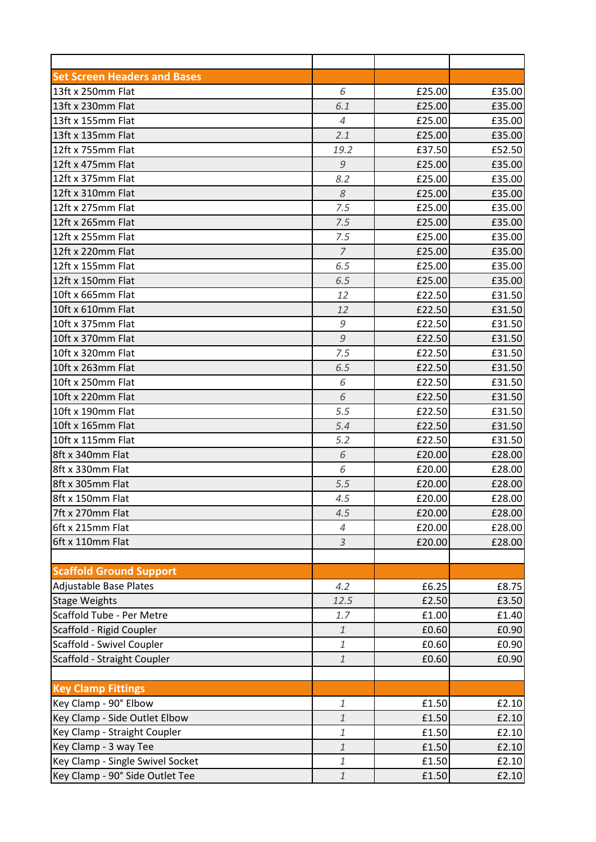| <b>Set Screen Headers and Bases</b> |                               |        |        |
|-------------------------------------|-------------------------------|--------|--------|
| 13ft x 250mm Flat                   | 6                             | £25.00 | £35.00 |
| 13ft x 230mm Flat                   | 6.1                           | £25.00 | £35.00 |
| 13ft x 155mm Flat                   | 4                             | £25.00 | £35.00 |
| 13ft x 135mm Flat                   | 2.1                           | £25.00 | £35.00 |
| 12ft x 755mm Flat                   | 19.2                          | £37.50 | £52.50 |
| 12ft x 475mm Flat                   | $\mathcal G$                  | £25.00 | £35.00 |
| 12ft x 375mm Flat                   | 8.2                           | £25.00 | £35.00 |
| 12ft x 310mm Flat                   | 8                             | £25.00 | £35.00 |
| 12ft x 275mm Flat                   | 7.5                           | £25.00 | £35.00 |
| 12ft x 265mm Flat                   | 7.5                           | £25.00 | £35.00 |
| 12ft x 255mm Flat                   | 7.5                           | £25.00 | £35.00 |
| 12ft x 220mm Flat                   | $\overline{7}$                | £25.00 | £35.00 |
| 12ft x 155mm Flat                   | 6.5                           | £25.00 | £35.00 |
| 12ft x 150mm Flat                   | 6.5                           | £25.00 | £35.00 |
| 10ft x 665mm Flat                   | 12                            | £22.50 | £31.50 |
| 10ft x 610mm Flat                   | 12                            | £22.50 | £31.50 |
| 10ft x 375mm Flat                   | 9                             | £22.50 | £31.50 |
| 10ft x 370mm Flat                   | $\mathcal{G}$                 | £22.50 | £31.50 |
| 10ft x 320mm Flat                   | 7.5                           | £22.50 | £31.50 |
| 10ft x 263mm Flat                   | 6.5                           | £22.50 | £31.50 |
| 10ft x 250mm Flat                   | 6                             | £22.50 | £31.50 |
| 10ft x 220mm Flat                   | 6                             | £22.50 | £31.50 |
| 10ft x 190mm Flat                   | 5.5                           | £22.50 | £31.50 |
| 10ft x 165mm Flat                   | 5.4                           | £22.50 | £31.50 |
| 10ft x 115mm Flat                   | 5.2                           | £22.50 | £31.50 |
| 8ft x 340mm Flat                    | 6                             | £20.00 | £28.00 |
| 8ft x 330mm Flat                    | 6                             | £20.00 | £28.00 |
| 8ft x 305mm Flat                    | 5.5                           | £20.00 | £28.00 |
| 8ft x 150mm Flat                    | 4.5                           | £20.00 | £28.00 |
| 7ft x 270mm Flat                    | 4.5                           | £20.00 | £28.00 |
| 6ft x 215mm Flat                    | $\overline{4}$                | £20.00 | £28.00 |
| 6ft x 110mm Flat                    | $\mathfrak{Z}$                | £20.00 | £28.00 |
|                                     |                               |        |        |
| <b>Scaffold Ground Support</b>      |                               |        |        |
| Adjustable Base Plates              | 4.2                           | £6.25  | £8.75  |
| <b>Stage Weights</b>                | 12.5                          | £2.50  | £3.50  |
| Scaffold Tube - Per Metre           | 1.7                           | £1.00  | £1.40  |
| Scaffold - Rigid Coupler            | $\ensuremath{\mathnormal{1}}$ | £0.60  | £0.90  |
| Scaffold - Swivel Coupler           | $\mathbf{1}$                  | £0.60  | £0.90  |
| Scaffold - Straight Coupler         | $\mathbf{1}$                  | £0.60  | £0.90  |
|                                     |                               |        |        |
| <b>Key Clamp Fittings</b>           |                               |        |        |
| Key Clamp - 90° Elbow               | $\mathbf{1}$                  | £1.50  | £2.10  |
| Key Clamp - Side Outlet Elbow       | $\mathbf{1}$                  | £1.50  | £2.10  |
| Key Clamp - Straight Coupler        | $\mathbf{1}$                  | £1.50  | £2.10  |
| Key Clamp - 3 way Tee               | $\mathbf{1}$                  | £1.50  | £2.10  |
| Key Clamp - Single Swivel Socket    | $\mathbf{1}$                  | £1.50  | £2.10  |
| Key Clamp - 90° Side Outlet Tee     | $\mathbf{1}$                  | £1.50  | £2.10  |